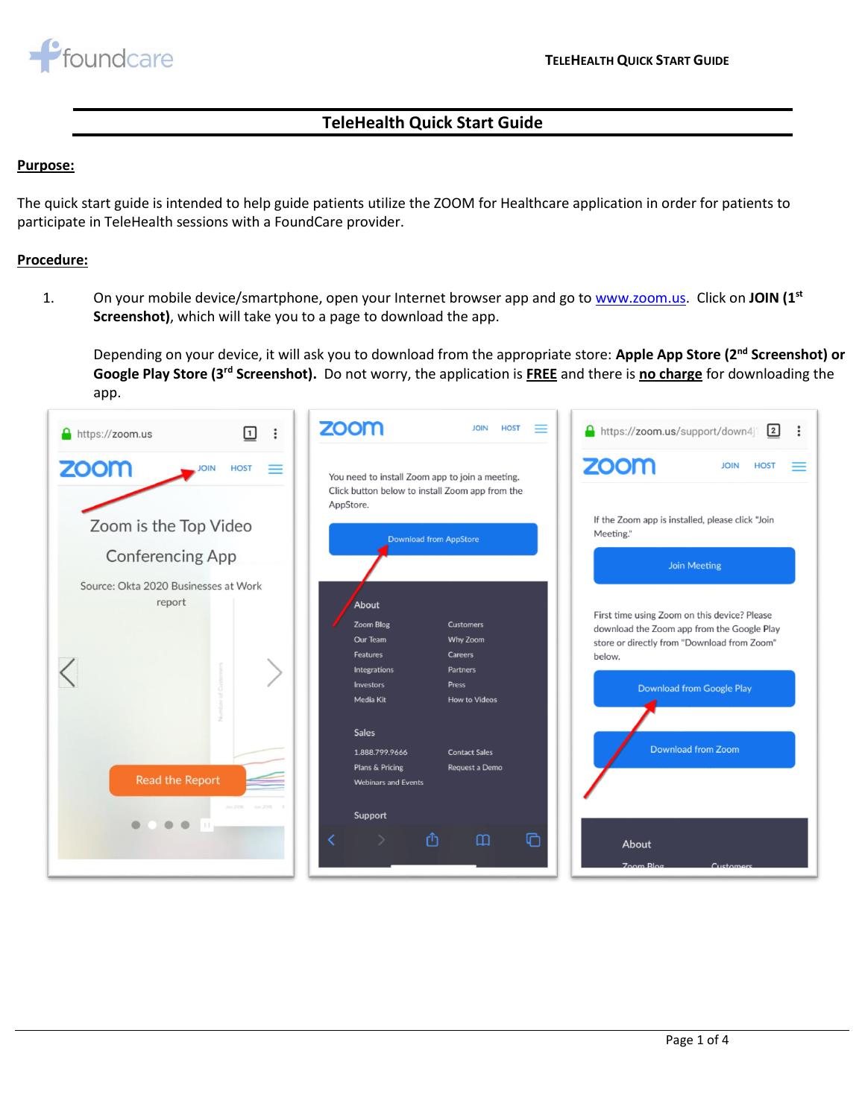

## **TeleHealth Quick Start Guide**

## **Purpose:**

The quick start guide is intended to help guide patients utilize the ZOOM for Healthcare application in order for patients to participate in TeleHealth sessions with a FoundCare provider.

## **Procedure:**

1. On your mobile device/smartphone, open your Internet browser app and go t[o www.zoom.us.](file:///C:/Users/llopez/Desktop/Temp/www.zoom.us) Click on **JOIN (1st Screenshot)**, which will take you to a page to download the app.

Depending on your device, it will ask you to download from the appropriate store: **Apple App Store (2nd Screenshot) or Google Play Store (3rd Screenshot).** Do not worry, the application is **FREE** and there is **no charge** for downloading the app.

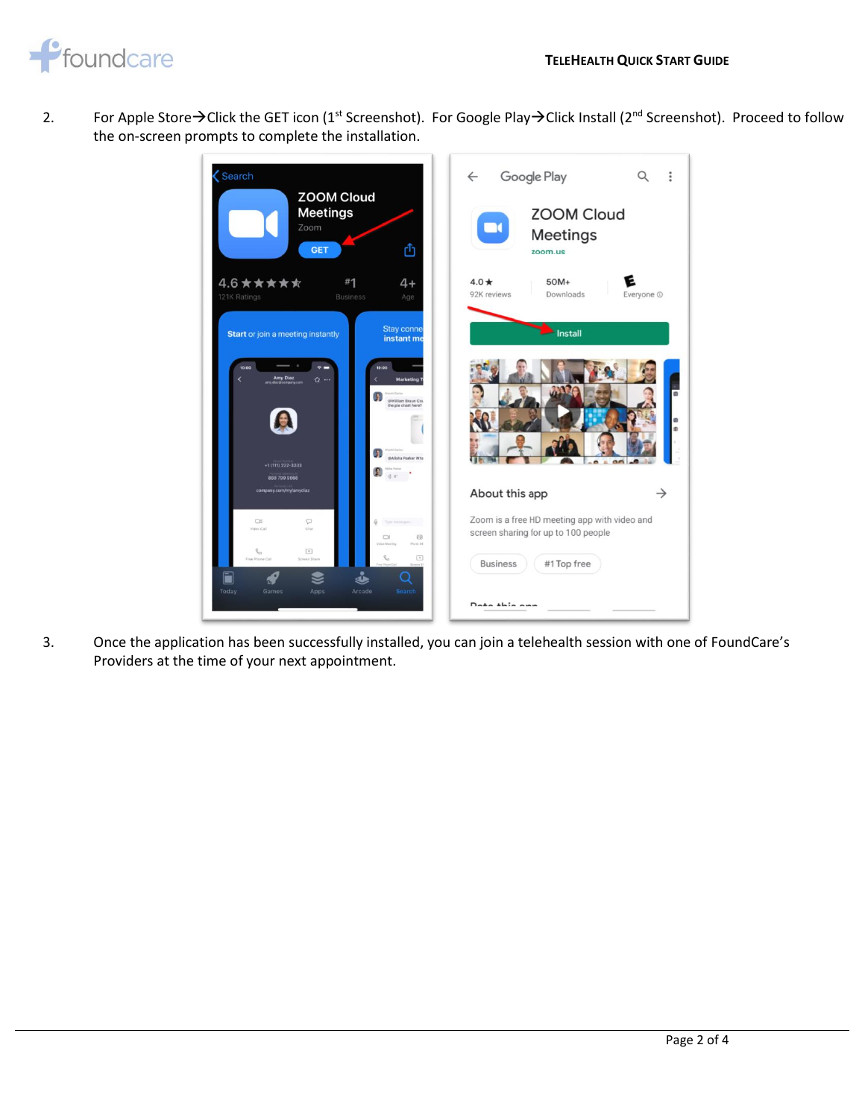

2. For Apple Store→Click the GET icon (1<sup>st</sup> Screenshot). For Google Play→Click Install (2<sup>nd</sup> Screenshot). Proceed to follow the on-screen prompts to complete the installation.



3. Once the application has been successfully installed, you can join a telehealth session with one of FoundCare's Providers at the time of your next appointment.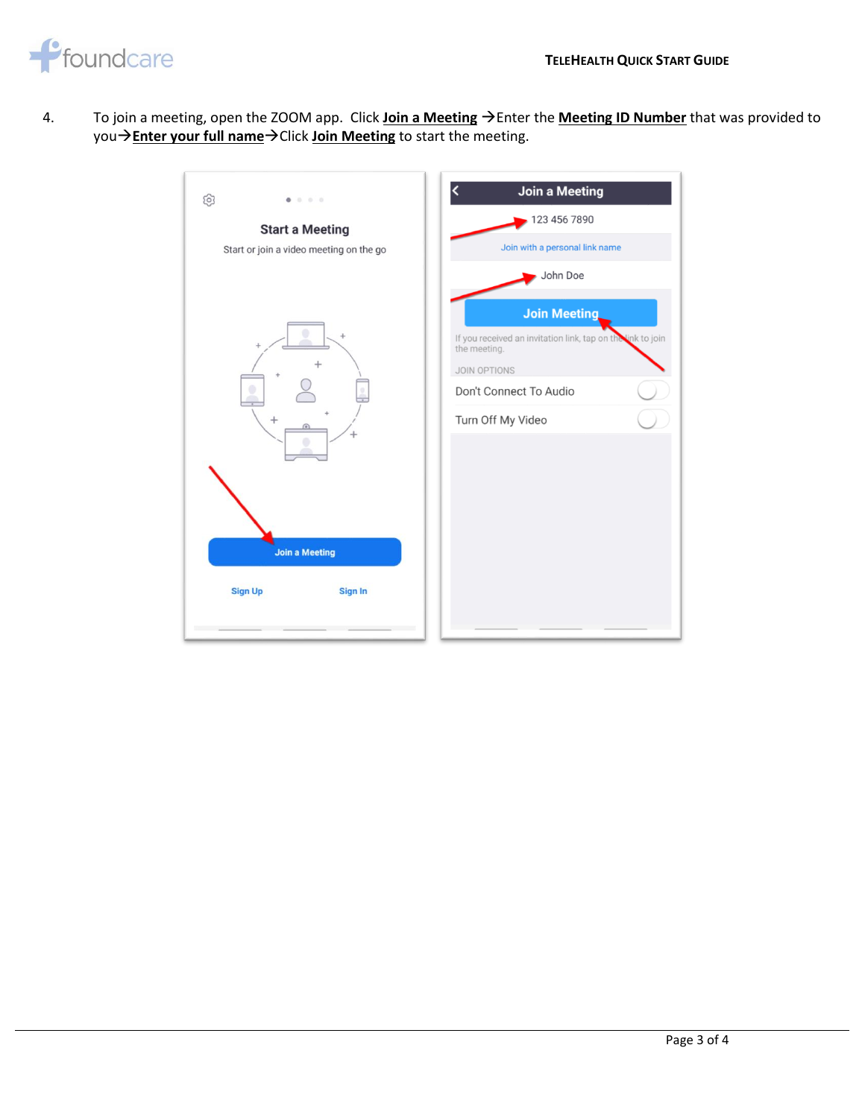

4. To join a meeting, open the ZOOM app. Click **Join a Meeting** →Enter the **Meeting ID Number** that was provided to you→**Enter your full name**→Click **Join Meeting** to start the meeting.